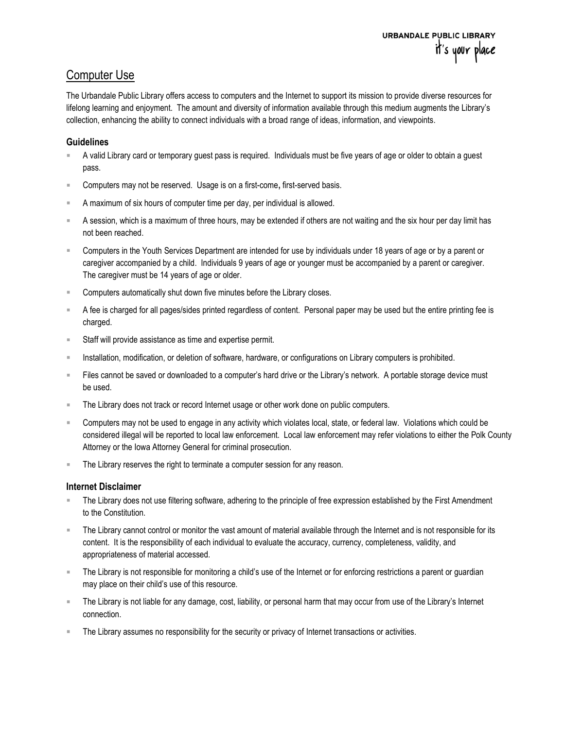## Computer Use

The Urbandale Public Library offers access to computers and the Internet to support its mission to provide diverse resources for lifelong learning and enjoyment. The amount and diversity of information available through this medium augments the Library's collection, enhancing the ability to connect individuals with a broad range of ideas, information, and viewpoints.

## **Guidelines**

- A valid Library card or temporary guest pass is required. Individuals must be five years of age or older to obtain a guest pass.
- Computers may not be reserved. Usage is on a first-come, first-served basis.
- A maximum of six hours of computer time per day, per individual is allowed.
- A session, which is a maximum of three hours, may be extended if others are not waiting and the six hour per day limit has not been reached.
- Computers in the Youth Services Department are intended for use by individuals under 18 years of age or by a parent or caregiver accompanied by a child. Individuals 9 years of age or younger must be accompanied by a parent or caregiver. The caregiver must be 14 years of age or older.
- **EXECOMPUTER 2018** Computers automatically shut down five minutes before the Library closes.
- A fee is charged for all pages/sides printed regardless of content. Personal paper may be used but the entire printing fee is charged.
- Staff will provide assistance as time and expertise permit.
- **Installation, modification, or deletion of software, hardware, or configurations on Library computers is prohibited.**
- Files cannot be saved or downloaded to a computer's hard drive or the Library's network. A portable storage device must be used.
- **The Library does not track or record Internet usage or other work done on public computers.**
- Computers may not be used to engage in any activity which violates local, state, or federal law. Violations which could be considered illegal will be reported to local law enforcement. Local law enforcement may refer violations to either the Polk County Attorney or the Iowa Attorney General for criminal prosecution.
- **The Library reserves the right to terminate a computer session for any reason.**

## Internet Disclaimer

- The Library does not use filtering software, adhering to the principle of free expression established by the First Amendment to the Constitution.
- The Library cannot control or monitor the vast amount of material available through the Internet and is not responsible for its content. It is the responsibility of each individual to evaluate the accuracy, currency, completeness, validity, and appropriateness of material accessed.
- The Library is not responsible for monitoring a child's use of the Internet or for enforcing restrictions a parent or guardian may place on their child's use of this resource.
- The Library is not liable for any damage, cost, liability, or personal harm that may occur from use of the Library's Internet connection.
- The Library assumes no responsibility for the security or privacy of Internet transactions or activities.